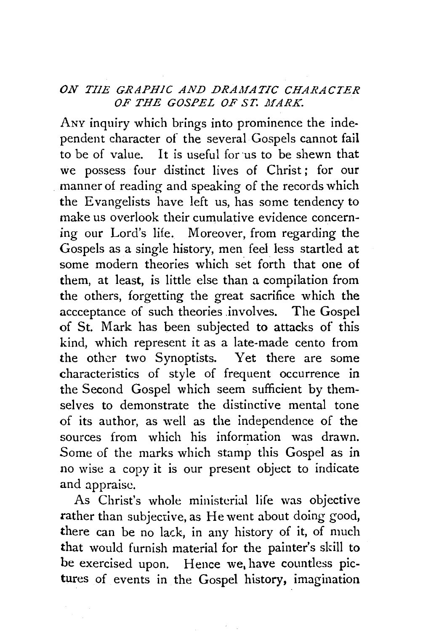## *ON TIIE GRAPHIC AND DRAMATIC CHARACTER*  OF THE GOSPEL OF ST. MARK.

ANY inquiry which brings into prominence the independent character of the several Gospels cannot fail to be of value. It is useful for us to be shewn that we possess four distinct lives of Christ; for our manner of reading and speaking of the records which the Evangelists have left us, has some tendency to make us overlook their cumulative evidence concerning our Lord's life. Moreover, from regarding the Gospels as a single history, men feel less startled at some modern theories which set forth that one of them, at least, is little else than a compilation from the others, forgetting the great sacrifice which the accceptance of such theories involves. The Gospel of St. Mark has been subjected to attacks of this kind, which represent it as a late-made cento from the other two Synoptists. Yet there are some characteristics of style of frequent occurrence in the Second Gospel which seem sufficient by themselves to demonstrate the distinctive mental tone of its author, as well as the independence of the sources from which his information was drawn. Some of the marks which stamp this Gospel as in no wise a copy it is our present object to indicate and appraise.

As Christ's whole ministerial life was objective rather than subjective, as He went about doing good, there can be no lack, in any history of it, of much that would furnish material for the painter's skill to be exercised upon. Hence we, have countless pictures of events in the Gospel history, imagination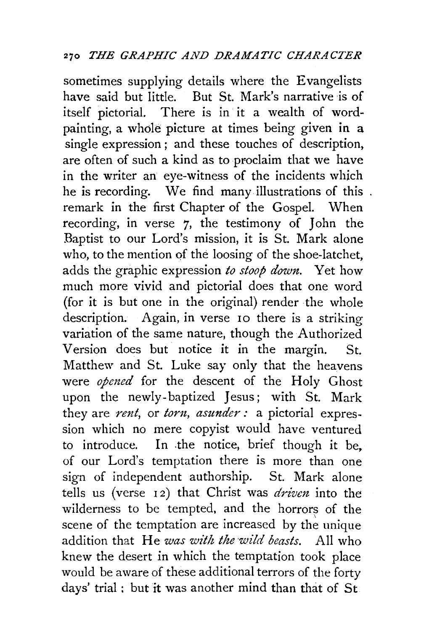sometimes supplying details where the Evangelists have said but little. But St. Mark's narrative is of itself pictorial. There is in it a wealth of wordpainting, a whole picture at times being given in a single expression ; and these touches of description, are often of such a kind as to proclaim that we have in the writer an eye-witness of the incidents which he is recording. We find many illustrations of this . remark in the first Chapter of the Gospel. When recording, in verse 7, the testimony of John the Baptist to our Lord's mission, it is St. Mark alone who, to the mention of the loosing of the shoe-latchet, adds the graphic expression *to stoop down.* Yet how much more vivid and pictorial does that one word (for it is but one in the original) render the whole description. Again, in verse 10 there is a striking variation of the same nature, though the Authorized Version does but notice it in the margin. St. Matthew and St. Luke say only that the heavens were *opened* for the descent of the Holy Ghost upon the newly-baptized Jesus; with St. Mark they are *rent*, or *torn*, *asunder* : a pictorial expression which no mere copyist would have ventured to introduce. In .the notice, brief though it be, of our Lord's temptation there is more than one sign of independent authorship. St. Mark alone tells us (verse 12) that Christ was *driven* into the wilderness to be tempted, and the horrors of the scene of the temptation are increased by the unique addition that He *was with the wild beasts.* All who knew the desert in which the temptation took place would be aware of these additional terrors of the forty days' trial : but it was another mind than that of St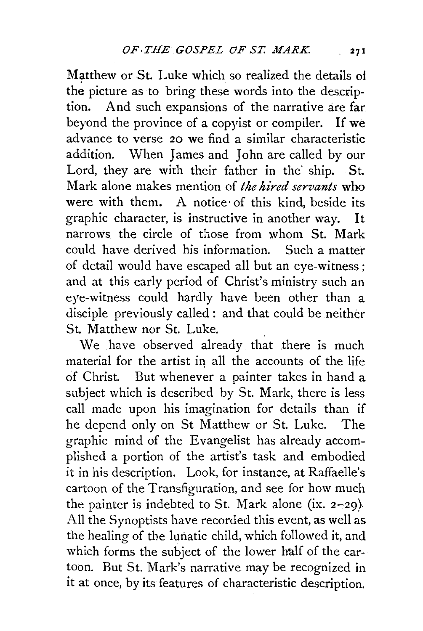Matthew or St. Luke which so realized the details ot the picture as to bring these words into the description. And such expansions of the narrative are far beyond the province of a copyist or compiler. If we advance to verse 20 we find a similar characteristic addition. When James and John are called by our Lord, they are with their father in the ship. St. Mark alone makes mention of *the hired servants* who were with them. A notice· of this kind, beside its graphic character, is instructive in another way. It narrows the circle of those from whom St. Mark could have derived his information. Such a matter of detail would have escaped all but an eye-witness; and at this early period of Christ's ministry such an eye-witness could hardly have been other than a disciple previously called : and that could be neither St. Matthew nor St. Luke.

We have observed already that there is much material for the artist in all the accounts of the life of Christ. But whenever a painter takes in hand a subject which is described by St. Mark, there is less call made upon his imagination for details than if he depend only on St Matthew or St. Luke. The graphic mind of the Evangelist has already accomplished a portion of the artist's task and embodied it in his description. Look, for instance, at Raffaelle's cartoon of the Transfiguration, and see for how much the painter is indebted to St. Mark alone (ix.  $2-29$ ). All the Synoptists have recorded this event, as well as the healing of tbe lunatic child, which followed it, and which forms the subject of the lower half of the cartoon. But St. Mark's narrative may be recognized in it at once, by its features of characteristic description.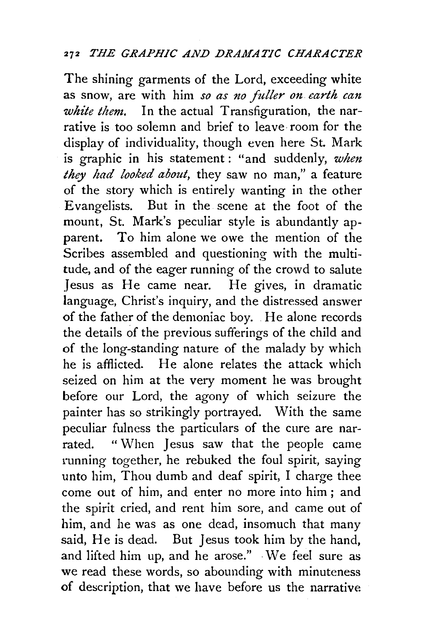## <sup>272</sup> THE GRAPHIC AND DRAMATIC CHARACTER

The shining garments of the Lord, exceeding white as snow, are with him so as no fuller on earth can *white them.* In the actual Transfiguration, the narrative is too solemn and brief to leave room for the display of individuality, though even here St. Mark is graphic in his statement: "and suddenly, *when they had looked about,* they saw no man," a feature of the story which is entirely wanting in the other Evangelists. But in the scene at the foot of the mount, St. Mark's peculiar style is abundantly apparent. To him alone we owe the mention of the Scribes assembled and questioning with the multitude, and of the eager running of the crowd to salute Jesus as He came near. He gives, in dramatic language, Christ's inquiry, and the distressed answer of the father of the demoniac boy. He alone records the details of the previous sufferings of the child and of the long-standing nature of the malady by which he is afflicted. He alone relates the attack which seized on him at the very moment he was brought before our Lord, the agony of which seizure the painter has so strikingly portrayed. With the same peculiar fulness the particulars of the cure are narrated. " When Jesus saw that the people came running together, he rebuked the foul spirit, saying unto him, Thou dumb and deaf spirit, I charge thee come out of him, and enter no more into him ; and the spirit cried, and rent him sore, and came out of him, and he was as one dead, insomuch that many said, He is dead. But Jesus took him by the hand, and lifted him up, and he arose." ·We feel sure as we read these words, so abounding with minuteness of description, that we have before us the narrative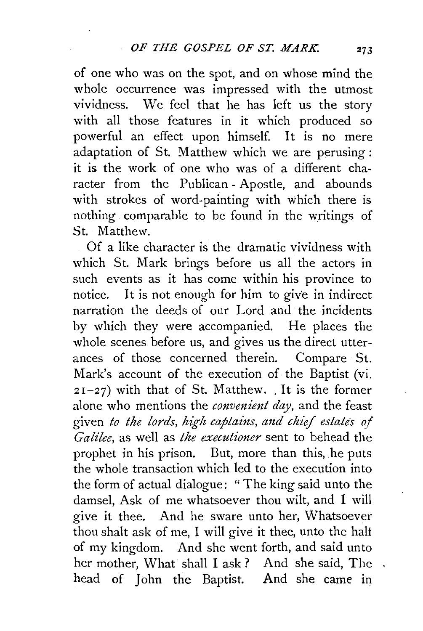of one who was on the spot, and on whose mind the whole occurrence was impressed with the utmost vividness. We feel that he has left us the story with all those features in it which produced so powerful an effect upon himself. It is no mere adaptation of St. Matthew which we are perusing : it is the work of one who was of a different character from the Publican- Apostle, and abounds with strokes of word-painting with which there is nothing comparable to be found in the writings of St. Matthew.

Of a like character is the dramatic vividness with which St. Mark brings before us all the actors in such events as it has come within his province to notice. It is not enough for him to give in indirect narration the deeds of our Lord and the incidents by which they were accompanied. He places the whole scenes before us, and gives us the direct utterances of those concerned therein. Compare St. Mark's account of the execution of the Baptist (vi.  $2I-27$ ) with that of St. Matthew. It is the former alone who mentions the *convenient day,* and the feast given *to the lords, high captains, and chief estates of Galilee,* as well as *the executioner* sent to behead the prophet in his prison. But, more than this, he puts the whole transaction which led to the execution into the form of actual dialogue: " The king said unto the damsel, Ask of me whatsoever thou wilt, and I will give it thee. And he sware unto her, Whatsoever thou shalt ask of me, I will give it thee, unto the halt of my kingdom. And she went forth, and said unto her mother, What shall I ask ? And she said, The head of John the Baptist. And she came in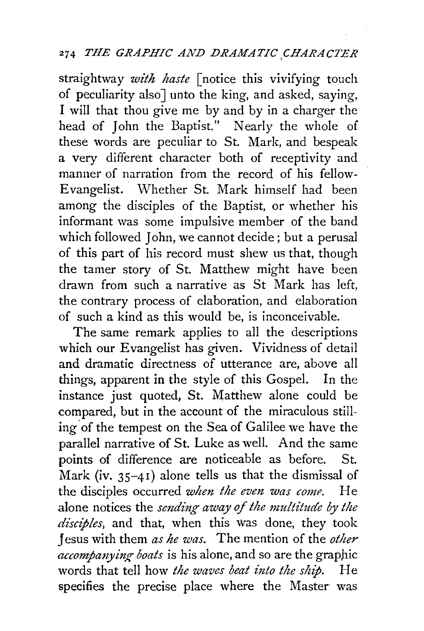## <sup>274</sup> *THE GRAPHIC AND DRAMATIC CHARACTER*

straightway *with haste [notice this vivifying touch* of peculiarity also] unto the king, and asked, saying, I will that thou give me by and by in a charger the head of John the Baptist." Nearly the whole of these words are peculiar to St. Mark, and bespeak a very different character both of receptivity and manner of narration from the record of his fellow-Evangelist. Whether St. Mark himself had been among the disciples of the Baptist, or whether his informant was some impulsive member of the band which followed John, we cannot decide; but a perusal of this part of his record must shew us that, though the tamer story of St. Matthew might have been drawn from such a narrative as St Mark has left, the contrary process of elaboration, and elaboration of such a kind as this would be, is inconceivable.

The same remark applies to all the descriptions which our Evangelist has given. Vividness of detail and dramatic directness of utterance are, above all things, apparent in the style of this Gospel. In the instance just quoted, St. Matthew alone could be compared, but in the account of the miraculous stilling of the tempest on the Sea of Galilee we have the parallel narrative of St. Luke as well. And the same points of difference are noticeable as before. St. Mark (iv.  $35-41$ ) alone tells us that the dismissal of the disciples occurred *when the even was come.* He alone notices the *smding away* of *the multitude by the*  disciples, and that, when this was done, they took Jesus with them *as he was.* The mention of the *other accompanying boats* is his alone, and so are the graphic words that tell how *the waves beat into the ship*. He specifies the precise place where the Master was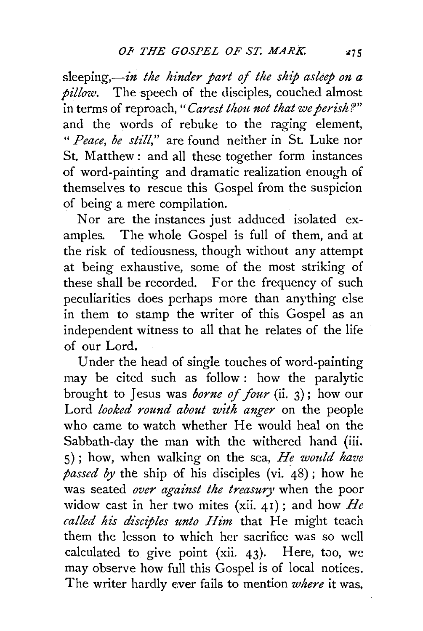sleeping,—in the hinder part of the ship asleep on a *pillow.* The speech of the disciples, couched almost in terms of reproach," *Carest thou. not that we perish?"*  and the words of rebuke to the raging element, *"Peace, be still,"* are found neither in St. Luke nor St. Matthew : and all these together form instances of word-painting and dramatic realization enough of themselves to rescue this Gospel from the suspicion of being a mere compilation.

Nor are the instances just adduced isolated examples. The whole Gospel is full of them, and at the risk of tediousness, though without any attempt at being exhaustive, some of the most striking of these shall be recorded. For the frequency of such peculiarities does perhaps more than anything else in them to stamp the writer of this Gospel as an independent witness to all that he relates of the life of our Lord.

Under the head of single touches of word-painting may be cited such as follow : how the paralytic brought to Jesus was *borne of four* (ii. 3); how our Lord *looked round about with anger* on the people who came to watch whether He would heal on the Sabbath-day the man with the withered hand (iii. 5); how, when walking on the sea, *He would have passed by* the ship of his disciples (vi. 48); how he was seated *over against the treasury* when the poor widow cast in her two mites (xii. 41); and how *He called his disciples unto Him.* that He might teach them the lesson to which her sacrifice was so well calculated to give point (xii.  $43$ ). Here, too, we may observe how full this Gospel is of local notices. The writer hardly ever fails to mention *where* it was,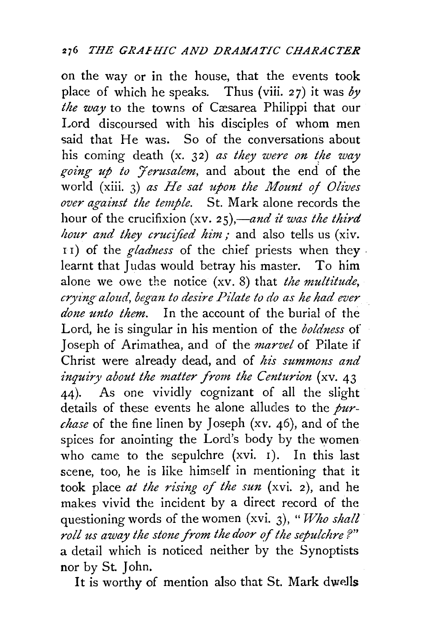on the way or in the house, that the events took place of which he speaks. Thus (viii. 27) it was *by the way* to the towns of Cæsarea Philippi that our Lord discoursed with his disciples of whom men said that He was. So of the conversations about his coming death (x. 32) *as they were on the way* going up to *Jerusalem*, and about the end of the world (xiii. 3) *as He sat upon the Mount of Olives over against the temple.* St. Mark alone records the hour of the crucifixion (xv. 25),—and it was the third *hour and they crucified him;* and also tells us (xiv. I I) of the *gladness* of the chief priests when they . learnt that Judas would betray his master. To him alone we owe the notice (xv. 8) that *the multitude,*  crying aloud, began to desire Pilate to do as he had ever *done unto them.* In the account of the burial of the Lord, he is singular in his mention of the *boldness* of Joseph of Arimathea, and of the *marvel* of Pilate if Christ were already dead, and of *his summons and inquiry about the matter from the Centurion* (xv. 43) 44). As one vividly cognizant of all the slight details of these events he alone alludes to the *purchase* of the fine linen by Joseph (xv. 46), and of the spices for anointing the Lord's body by the women who came to the sepulchre (xvi. I). In this last scene, too, he is like himself in mentioning that it took place *at the rising of the sun* (xvi. 2), and he makes vivid the incident by a direct record of the questioning words of the women (xvi. 3), "*Who shall roll us away the stone from the door of the sepulchre ?"*  a detail which is noticed neither by the Synoptists nor by St. John.

It is worthy of mention also that St. Mark dweJls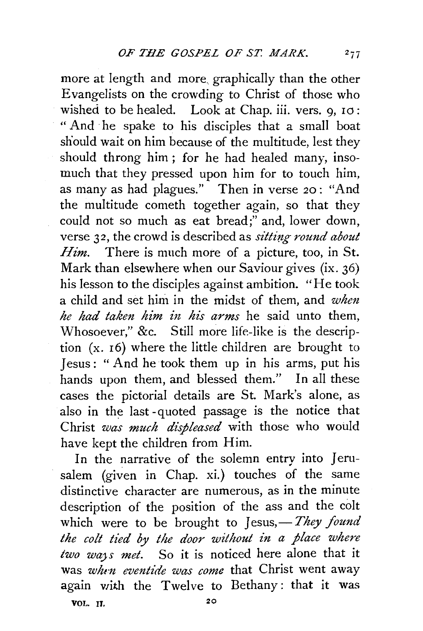more at length and more. graphically than the other Evangelists on the crowding to Christ of those who wished to be healed. Look at Chap. iii. vers. 9, 10: " And ·he spake to his disciples that a small boat should wait on him because of the multitude, lest they should throng him ; for he had healed many, insomuch that they pressed upon him for to touch him, as many as had plagues." Then in verse *20* : "And the multitude cometh together again, so that they could not so much as eat bread;" and, lower down, verse 32, the crowd is described as *sitting round about Him.* There is much more of a picture, too, in St. Mark than elsewhere when our Saviour gives (ix. 36) his lesson to the disciples against ambition. "He took a child and set him in the midst of them, and *when he had taken him in his arms* he said unto them, Whosoever," &c. Still more life-like is the description (x. 16) where the little children are brought to Jesus: "And he took them up in his arms, put his hands upon them, and blessed them." In all these cases the pictorial details are St. Mark's alone, as also in the last -quoted passage is the notice that Christ *was much displeased* with those who would have kept the children from Him.

In the narrative of the solemn entry into Jerusalem (given in Chap. xi.) touches of the same distinctive character are numerous, as in the minute description of the position of the ass and the colt which were to be brought to Jesus,- They found the colt tied by the door without in a place where *two wa;s met.* So it is noticed here alone that it was *wht:n eventide was come* that Christ went away again with the Twelve to Bethany: that it was

VOL. IJ, 20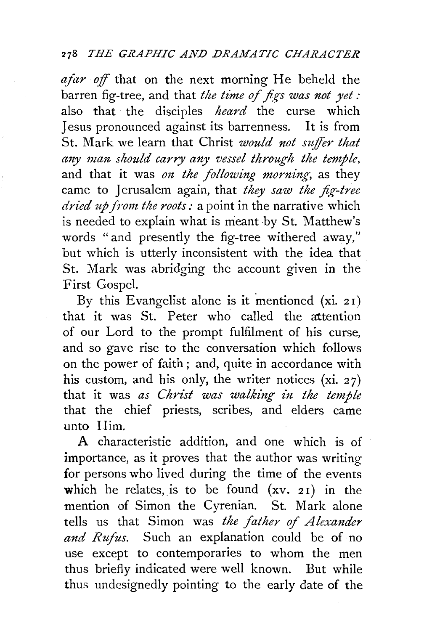*ajar off* that on the next morning He beheld the barren fig-tree, and that *the time of figs was not yet:*  also that the disciples *heard* the curse which Jesus pronounced against its barrenness. It is from St. Mark we learn that Christ *would not suffer that any man should carry any vessel through the temple,*  and that it was *on the following morning,* as they came to Jerusalem again, that *they saw the fig-tree dried up from the roots:* a point in the narrative which is needed to explain what is meant by St. Matthew's words "and presently the fig-tree withered away," but which is utterly inconsistent with the idea that St. Mark was abridging the account given in the First Gospel.

By this Evangelist alone is it mentioned  $(xi. 21)$ that it was St. Peter who called the attention of our Lord to the prompt fulfilment of his curse, and so gave rise to the conversation which follows on the power of faith ; and, quite in accordance with his custom, and his only, the writer notices (xi. 27) that it was as Christ was walking in the temple that the chief priests, scribes, and elders came unto Him.

A characteristic addition, and one which is of importance, as it proves that the author was writing for persons who lived during the time of the events which he relates, is to be found  $(xv. 21)$  in the mention of Simon the Cyrenian. St. Mark alone tells us that Simon was *the father of Alexander and Rufus.* Such an explanation could be of no use except to contemporaries to whom the men thus briefly indicated were well known. But while thus undesignedly pointing to the early date of the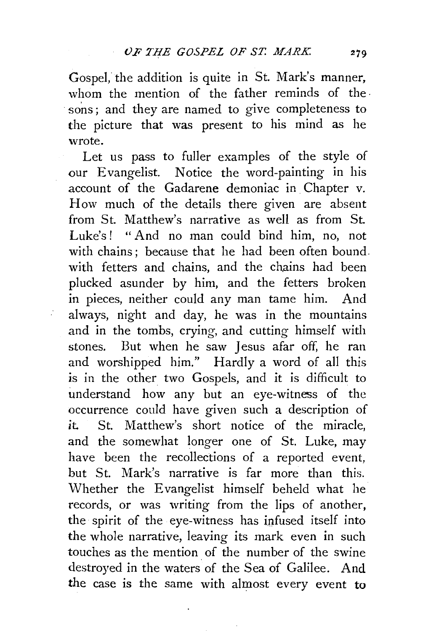Gospel, the addition is quite in St. Mark's manner, whom the mention of the father reminds of the sons; and they are named to give completeness to the picture that was present to his mind as he wrote.

Let us pass to fuller examples of the style of our Evangelist. Notice the word-painting in his account of the Gadarene demoniac in Chapter v. How much of the details there given are absent from St. Matthew's narrative as well as from St. Luke's ! " And no man could bind him, no, not with chains: because that he had been often bound. with fetters and chains, and the chains had been plucked asunder by him, and the fetters broken in pieces, neither could any man tame him. And always, night and day, he was in the mountains and in the tombs, crying, and cutting himself with stones. But when he saw Jesus afar off, he ran and worshipped him." Hardly a word of all this is in the other two Gospels, and it is difficult to understand how any but an eye-witness of the occurrence could have given such a description of *it.* St. Matthew's short notice of the miracle, and the somewhat longer one of St. Luke, may have been the recollections of a reported event, but St. Mark's narrative is far more than this. Whether the Evangelist himself beheld what he records, or was writing from the lips of another, the spirit of the eye-witness has infused itself into the whole narrative, leaving its mark even in such touches as the mention of the number of the swine destroyed in the waters of the Sea of Galilee. And the case is the same with almost every event to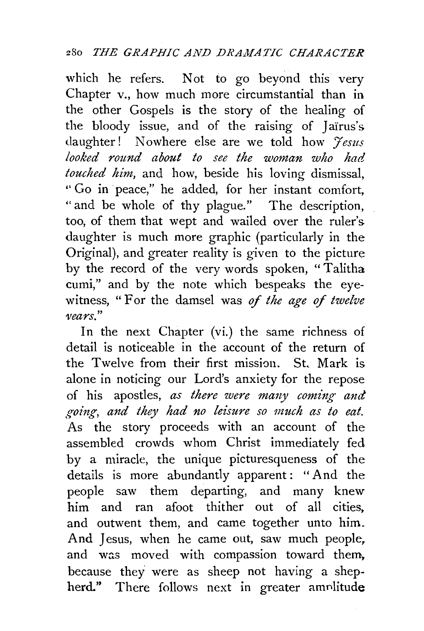which he refers. Not to go beyond this very Chapter v., how much more circumstantial than in the other Gospels is the story of the healing of the bloody issue, and of the raising of Jaïrus's daughter! Nowhere else are we told how *Jesus looked round about to see the woman who had touched him,* and how, beside his loving dismissal, '' Go in peace," he added, for her instant comfort, " and be whole of thy plague." The description, too, of them that wept and wailed over the ruler's daughter is much more graphic (particularly in the Original), and greater reality is given to the picture by the record of the very words spoken, "Talitha cumi," and by the note which bespeaks the eyewitness, " For the damsel was of *the age* of *twelve vears."* 

In the next Chapter (vi.) the same richness of detail is noticeable in the account of the return of the Twelve from their first mission. St. Mark is alone in noticing our Lord's anxiety for the repose of his apostles, *as there were ma1zy coming and .troing, and they had no leisure so much as to eat.*  As the story proceeds with an account of the assembled crowds whom Christ immediately fed by a miracle, the unique picturesqueness of the details is more abundantly apparent: "And the people saw them departing, and many knew him and ran afoot thither out of all cities, and outwent them, and came together unto him. And Jesus, when he came out, saw much people, and was moved with compassion toward them, because they were as sheep not having a shepherd." There follows next in greater amnlitude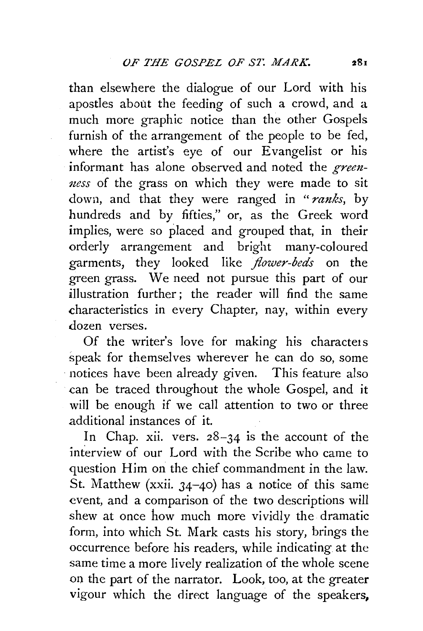than elsewhere the dialogue of our Lord with his apostles about the feeding of such a crowd, and a much more graphic notice than the other Gospels furnish of the arrangement of the people to be fed, where the artist's eye of our Evangelist or his informant has alone observed and noted the *greenness* of the grass on which they were made to sit down, and that they were ranged in " *ranks,* by hundreds and by fifties," or, as the Greek word implies, were so placed and grouped that, in their orderly arrangement and bright many-coloured garments, they looked like *flower-beds* on the green grass. We need not pursue this part of our illustration further: the reader will find the same characteristics in every Chapter, nay, within every dozen verses.

Of the writer's love for making his characters speak for themselves wherever he can do so, some notices have been already given. This feature also can be traced throughout the whole Gospel, and it will be enough if we call attention to two or three additional instances of it.

In Chap. xii. vers. 28-34 is the account of the interview of our Lord with the Scribe who came to question Him on the chief commandment in the law. St. Matthew  $(xxii. 34-40)$  has a notice of this same event, and a comparison of the two descriptions will shew at once how much more vividly the dramatic form, into which St. Mark casts his story, brings the occurrence before his readers, while indicating at the same time a more lively realization of the whole scene on the part of the narrator. Look, too, at the greater vigour which the direct language of the speakers,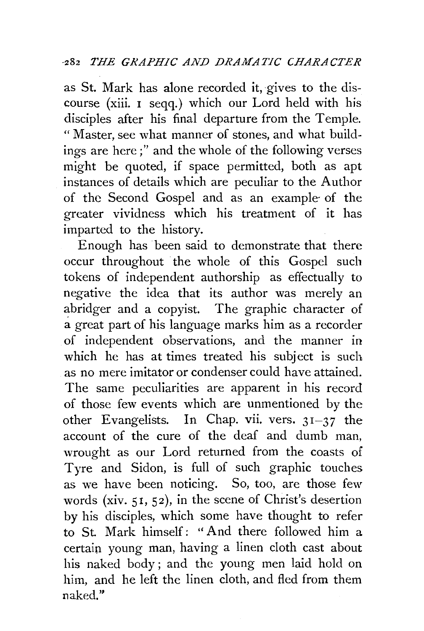as St. Mark has alone recorded it, gives to the discourse (xiii. 1 seqq.) which our Lord held with his disciples after his final departure from the Temple. "Master, see what manner of stones, and what buildings are here ; " and the whole of the following verses might be quoted, if space permitted, both as apt instances of details which are peculiar to the Author of the Second Gospel and as an example· of the greater vividness which his treatment of it has imparted to the history.

Enough has been said to demonstrate that there occur throughout the whole of this Gospel such tokens of independent authorship as effectually to negative the idea that its author was merely an abridger and a copyist. The graphic character of a great part of his language marks him as a recorder of independent observations, and the manner in which he has at times treated his subject is such as no mere imitator or condenser could have attained. The same peculiarities are apparent in his record of those few events which are unmentioned by the other Evangelists. In Chap. vii. vers. 31-37 the account of the cure of the deaf and dumb man, wrought as our Lord returned from the coasts of Tyre and Sidon, is full of such graphic touches as we have been noticing. So, too, are those few words (xiv. 51, 52), in the scene of Christ's desertion by his disciples, which some have thought to refer to St. Mark himself: " And there followed him a certain. young man, having a linen cloth cast about his naked body ; and the young men laid hold on him, and he left the linen cloth, and fled from them naked."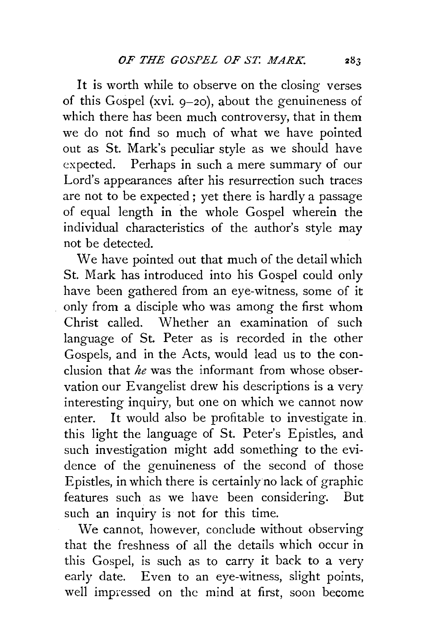It is worth while to observe on the closing verses of this Gospel (xvi.  $9-20$ ), about the genuineness of which there has been much controversy, that in them we do not find so much of what we have pointed out as St. Mark's peculiar style as we should have expected. Perhaps in such a mere summary of our Lord's appearances after his resurrection such traces are not to be expected; yet there is hardly a passage of equal length in the whole Gospel wherein the individual characteristics of the author's style may not be detected.

We have pointed out that much of the detail which St. Mark has introduced into his Gospel could only have been gathered from an eye-witness, some of it only from a disciple who was among the first whom Christ called. Whether an examination of such language of St. Peter as is recorded in the other Gospels, and in the Acts, would lead us to the conclusion that *he* was the informant from whose observation our Evangelist drew his descriptions is a very interesting inquiry, but one on which we cannot now enter. It would also be profitable to investigate in. this light the language of St. Peter's Epistles, and such investigation might add something to the evidence of the genuineness of the second of those Epistles, in which there is certainly no lack of graphic features such as we have been considering. But such an inquiry is not for this time.

We cannot, however, conclude without observing that the freshness of all the details which occur in this Gospel, is such as to carry it back to a very early date. Even to an eye-witness, slight points, well impressed on the mind at first, soon become